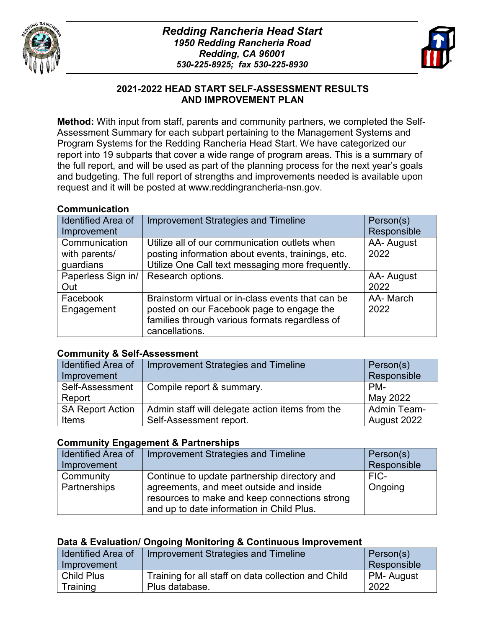



#### ٦ **2021-2022 HEAD START SELF-ASSESSMENT RESULTS AND IMPROVEMENT PLAN**

**Method:** With input from staff, parents and community partners, we completed the Self-Assessment Summary for each subpart pertaining to the Management Systems and Program Systems for the Redding Rancheria Head Start. We have categorized our report into 19 subparts that cover a wide range of program areas. This is a summary of the full report, and will be used as part of the planning process for the next year's goals and budgeting. The full report of strengths and improvements needed is available upon request and it will be posted at www.reddingrancheria-nsn.gov.

#### **Communication**

| <b>Identified Area of</b> | <b>Improvement Strategies and Timeline</b>        | Person(s)   |
|---------------------------|---------------------------------------------------|-------------|
| Improvement               |                                                   | Responsible |
| Communication             | Utilize all of our communication outlets when     | AA- August  |
| with parents/             | posting information about events, trainings, etc. | 2022        |
| guardians                 | Utilize One Call text messaging more frequently.  |             |
| Paperless Sign in/        | Research options.                                 | AA- August  |
| Out                       |                                                   | 2022        |
| Facebook                  | Brainstorm virtual or in-class events that can be | AA-March    |
| Engagement                | posted on our Facebook page to engage the         | 2022        |
|                           | families through various formats regardless of    |             |
|                           | cancellations.                                    |             |

#### **Community & Self-Assessment**

| <b>Identified Area of</b> | Improvement Strategies and Timeline             | Person(s)          |
|---------------------------|-------------------------------------------------|--------------------|
| Improvement               |                                                 | Responsible        |
| Self-Assessment           | Compile report & summary.                       | PM-                |
| Report                    |                                                 | May 2022           |
| <b>SA Report Action</b>   | Admin staff will delegate action items from the | <b>Admin Team-</b> |
| Items                     | Self-Assessment report.                         | August 2022        |

#### **Community Engagement & Partnerships**

| <b>Identified Area of</b> | Improvement Strategies and Timeline           | Person(s)   |
|---------------------------|-----------------------------------------------|-------------|
| Improvement               |                                               | Responsible |
| Community                 | Continue to update partnership directory and  | FIC-        |
| Partnerships              | agreements, and meet outside and inside       | Ongoing     |
|                           | resources to make and keep connections strong |             |
|                           | and up to date information in Child Plus.     |             |

#### **Data & Evaluation/ Ongoing Monitoring & Continuous Improvement**

| <b>Identified Area of</b><br>Improvement | Improvement Strategies and Timeline                 | Person(s)<br>Responsible |
|------------------------------------------|-----------------------------------------------------|--------------------------|
| <b>Child Plus</b>                        | Training for all staff on data collection and Child | <b>PM-August</b>         |
| Training                                 | Plus database.                                      | 2022                     |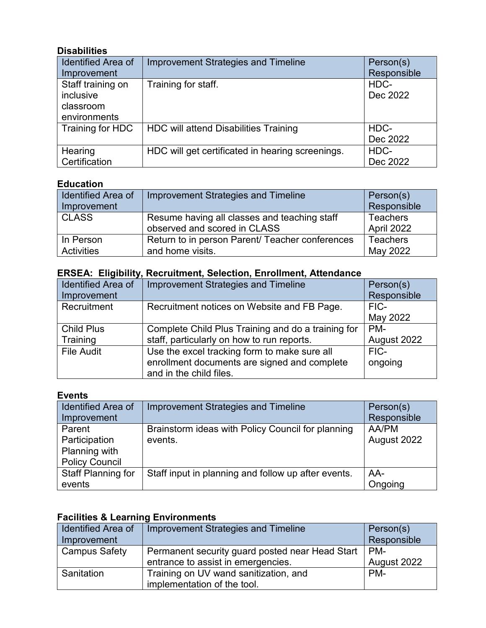### **Disabilities**

| Identified Area of | <b>Improvement Strategies and Timeline</b>       | Person(s)   |
|--------------------|--------------------------------------------------|-------------|
| Improvement        |                                                  | Responsible |
| Staff training on  | Training for staff.                              | HDC-        |
| inclusive          |                                                  | Dec 2022    |
| classroom          |                                                  |             |
| environments       |                                                  |             |
| Training for HDC   | <b>HDC will attend Disabilities Training</b>     | HDC-        |
|                    |                                                  | Dec 2022    |
| Hearing            | HDC will get certificated in hearing screenings. | HDC-        |
| Certification      |                                                  | Dec 2022    |

#### **Education**

| <b>Identified Area of</b> | Improvement Strategies and Timeline             | Person(s)       |
|---------------------------|-------------------------------------------------|-----------------|
| Improvement               |                                                 | Responsible     |
| <b>CLASS</b>              | Resume having all classes and teaching staff    | <b>Teachers</b> |
|                           | observed and scored in CLASS                    | April 2022      |
| In Person                 | Return to in person Parent/ Teacher conferences | <b>Teachers</b> |
| <b>Activities</b>         | and home visits.                                | May 2022        |

# **ERSEA: Eligibility, Recruitment, Selection, Enrollment, Attendance**

| <b>Identified Area of</b> | <b>Improvement Strategies and Timeline</b>         | Person(s)   |
|---------------------------|----------------------------------------------------|-------------|
| Improvement               |                                                    | Responsible |
| Recruitment               | Recruitment notices on Website and FB Page.        | FIC-        |
|                           |                                                    | May 2022    |
| <b>Child Plus</b>         | Complete Child Plus Training and do a training for | PM-         |
| Training                  | staff, particularly on how to run reports.         | August 2022 |
| <b>File Audit</b>         | Use the excel tracking form to make sure all       | FIC-        |
|                           | enrollment documents are signed and complete       | ongoing     |
|                           | and in the child files.                            |             |

#### **Events**

| <b>Identified Area of</b> | <b>Improvement Strategies and Timeline</b>          | Person(s)   |
|---------------------------|-----------------------------------------------------|-------------|
| Improvement               |                                                     | Responsible |
| Parent                    | Brainstorm ideas with Policy Council for planning   | AA/PM       |
| Participation             | events.                                             | August 2022 |
| Planning with             |                                                     |             |
| <b>Policy Council</b>     |                                                     |             |
| <b>Staff Planning for</b> | Staff input in planning and follow up after events. | AA-         |
| events                    |                                                     | Ongoing     |

# **Facilities & Learning Environments**

| <b>Identified Area of</b> | Improvement Strategies and Timeline             | Person(s)   |
|---------------------------|-------------------------------------------------|-------------|
| Improvement               |                                                 | Responsible |
| <b>Campus Safety</b>      | Permanent security guard posted near Head Start | l PM-       |
|                           | entrance to assist in emergencies.              | August 2022 |
| Sanitation                | Training on UV wand sanitization, and           | PM-         |
|                           | implementation of the tool.                     |             |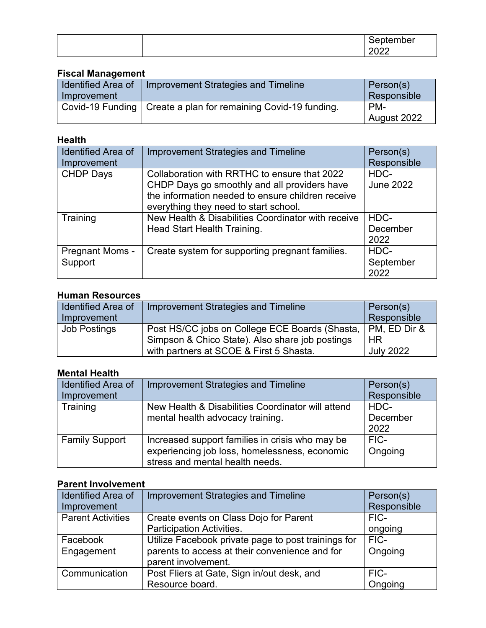|  | $ -$<br>⊶ |
|--|-----------|
|  |           |

# **Fiscal Management**

| <b>Identified Area of</b> | Improvement Strategies and Timeline                              | Person(s)   |
|---------------------------|------------------------------------------------------------------|-------------|
| Improvement               |                                                                  | Responsible |
|                           | Covid-19 Funding   Create a plan for remaining Covid-19 funding. | PM-         |
|                           |                                                                  | August 2022 |

## **Health**

| <b>Identified Area of</b> | <b>Improvement Strategies and Timeline</b>         | Person(s)        |
|---------------------------|----------------------------------------------------|------------------|
| Improvement               |                                                    | Responsible      |
| <b>CHDP Days</b>          | Collaboration with RRTHC to ensure that 2022       | HDC-             |
|                           | CHDP Days go smoothly and all providers have       | <b>June 2022</b> |
|                           | the information needed to ensure children receive  |                  |
|                           | everything they need to start school.              |                  |
| Training                  | New Health & Disabilities Coordinator with receive | HDC-             |
|                           | Head Start Health Training.                        | December         |
|                           |                                                    | 2022             |
| <b>Pregnant Moms -</b>    | Create system for supporting pregnant families.    | HDC-             |
| Support                   |                                                    | September        |
|                           |                                                    | 2022             |

## **Human Resources**

| <b>Identified Area of</b> | Improvement Strategies and Timeline                           | Person(s)        |
|---------------------------|---------------------------------------------------------------|------------------|
| Improvement               |                                                               | Responsible      |
| <b>Job Postings</b>       | Post HS/CC jobs on College ECE Boards (Shasta,   PM, ED Dir & |                  |
|                           | Simpson & Chico State). Also share job postings               | HR               |
|                           | with partners at SCOE & First 5 Shasta.                       | <b>July 2022</b> |

# **Mental Health**

| <b>Identified Area of</b> | <b>Improvement Strategies and Timeline</b>        | Person(s)   |
|---------------------------|---------------------------------------------------|-------------|
| Improvement               |                                                   | Responsible |
| Training                  | New Health & Disabilities Coordinator will attend | HDC-        |
|                           | mental health advocacy training.                  | December    |
|                           |                                                   | 2022        |
| <b>Family Support</b>     | Increased support families in crisis who may be   | FIC-        |
|                           | experiencing job loss, homelessness, economic     | Ongoing     |
|                           | stress and mental health needs.                   |             |

# **Parent Involvement**

| <b>Identified Area of</b> | <b>Improvement Strategies and Timeline</b>          | Person(s)   |
|---------------------------|-----------------------------------------------------|-------------|
| Improvement               |                                                     | Responsible |
| <b>Parent Activities</b>  | Create events on Class Dojo for Parent              | FIC-        |
|                           | <b>Participation Activities.</b>                    | ongoing     |
| Facebook                  | Utilize Facebook private page to post trainings for | FIC-        |
| Engagement                | parents to access at their convenience and for      | Ongoing     |
|                           | parent involvement.                                 |             |
| Communication             | Post Fliers at Gate, Sign in/out desk, and          | FIC-        |
|                           | Resource board.                                     | Ongoing     |